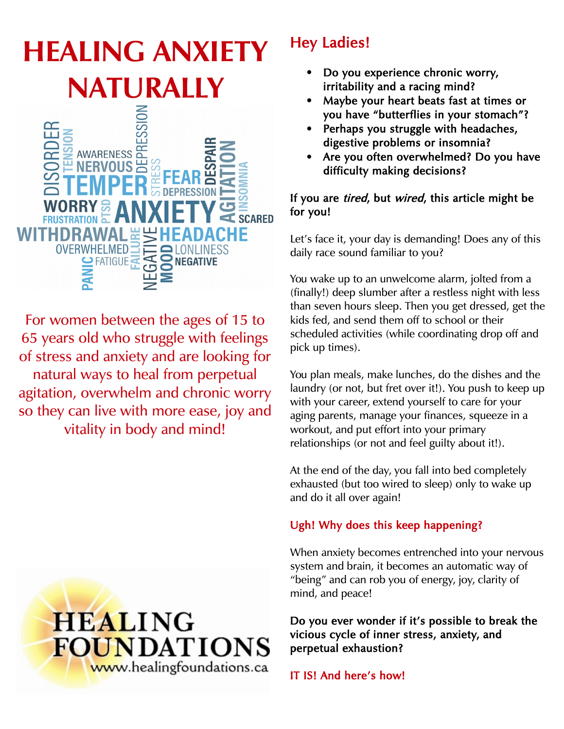# **HEALING ANXIETY NATURALLY**



For women between the ages of 15 to 65 years old who struggle with feelings of stress and anxiety and are looking for natural ways to heal from perpetual agitation, overwhelm and chronic worry so they can live with more ease, joy and vitality in body and mind!



# Hey Ladies!

- Do you experience chronic worry, irritability and a racing mind?
- Maybe your heart beats fast at times or you have "butterflies in your stomach"?
- Perhaps you struggle with headaches, digestive problems or insomnia?
- Are you often overwhelmed? Do you have difficulty making decisions?

#### If you are *tired*, but *wired*, this article might be for you!

Let's face it, your day is demanding! Does any of this daily race sound familiar to you?

You wake up to an unwelcome alarm, jolted from a (finally!) deep slumber after a restless night with less than seven hours sleep. Then you get dressed, get the kids fed, and send them off to school or their scheduled activities (while coordinating drop off and pick up times).

You plan meals, make lunches, do the dishes and the laundry (or not, but fret over it!). You push to keep up with your career, extend yourself to care for your aging parents, manage your finances, squeeze in a workout, and put effort into your primary relationships (or not and feel guilty about it!).

At the end of the day, you fall into bed completely exhausted (but too wired to sleep) only to wake up and do it all over again!

## Ugh! Why does this keep happening?

When anxiety becomes entrenched into your nervous system and brain, it becomes an automatic way of "being" and can rob you of energy, joy, clarity of mind, and peace!

Do you ever wonder if it's possible to break the vicious cycle of inner stress, anxiety, and perpetual exhaustion?

IT IS! And here's how!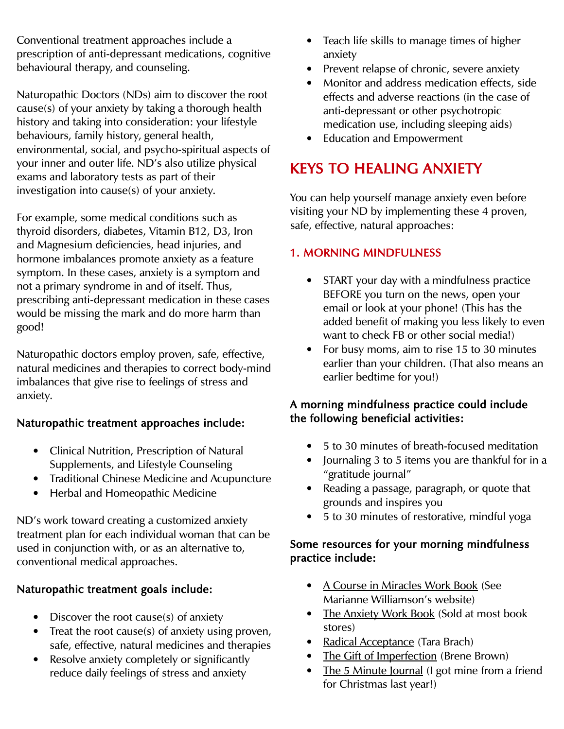Conventional treatment approaches include a prescription of anti-depressant medications, cognitive behavioural therapy, and counseling.

Naturopathic Doctors (NDs) aim to discover the root cause(s) of your anxiety by taking a thorough health history and taking into consideration: your lifestyle behaviours, family history, general health, environmental, social, and psycho-spiritual aspects of your inner and outer life. ND's also utilize physical exams and laboratory tests as part of their investigation into cause(s) of your anxiety.

For example, some medical conditions such as thyroid disorders, diabetes, Vitamin B12, D3, Iron and Magnesium deficiencies, head injuries, and hormone imbalances promote anxiety as a feature symptom. In these cases, anxiety is a symptom and not a primary syndrome in and of itself. Thus, prescribing anti-depressant medication in these cases would be missing the mark and do more harm than good!

Naturopathic doctors employ proven, safe, effective, natural medicines and therapies to correct body-mind imbalances that give rise to feelings of stress and anxiety.

#### Naturopathic treatment approaches include:

- Clinical Nutrition, Prescription of Natural Supplements, and Lifestyle Counseling
- Traditional Chinese Medicine and Acupuncture
- Herbal and Homeopathic Medicine

ND's work toward creating a customized anxiety treatment plan for each individual woman that can be used in conjunction with, or as an alternative to, conventional medical approaches.

#### Naturopathic treatment goals include:

- Discover the root cause(s) of anxiety
- Treat the root cause(s) of anxiety using proven, safe, effective, natural medicines and therapies
- Resolve anxiety completely or significantly reduce daily feelings of stress and anxiety
- Teach life skills to manage times of higher anxiety
- Prevent relapse of chronic, severe anxiety
- Monitor and address medication effects, side effects and adverse reactions (in the case of anti-depressant or other psychotropic medication use, including sleeping aids)
- Education and Empowerment

# KEYS TO HEALING ANXIETY

You can help yourself manage anxiety even before visiting your ND by implementing these 4 proven, safe, effective, natural approaches:

## 1. MORNING MINDFULNESS

- START your day with a mindfulness practice BEFORE you turn on the news, open your email or look at your phone! (This has the added benefit of making you less likely to even want to check FB or other social media!)
- For busy moms, aim to rise 15 to 30 minutes earlier than your children. (That also means an earlier bedtime for you!)

#### A morning mindfulness practice could include the following beneficial activities:

- 5 to 30 minutes of breath-focused meditation
- Journaling 3 to 5 items you are thankful for in a "gratitude journal"
- Reading a passage, paragraph, or quote that grounds and inspires you
- 5 to 30 minutes of restorative, mindful yoga

#### Some resources for your morning mindfulness practice include:

- A Course in Miracles Work Book (See Marianne Williamson's website)
- The Anxiety Work Book (Sold at most book stores)
- Radical Acceptance (Tara Brach)
- The Gift of Imperfection (Brene Brown)
- The 5 Minute Journal (I got mine from a friend for Christmas last year!)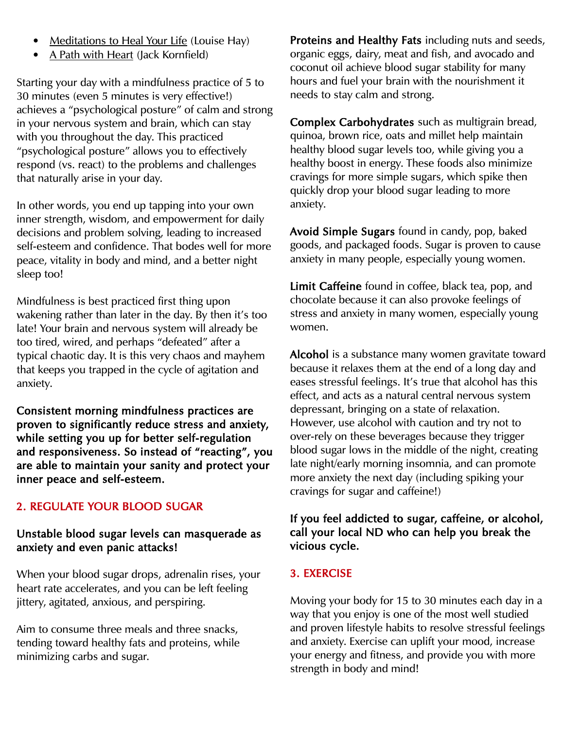- Meditations to Heal Your Life (Louise Hay)
- A Path with Heart (Jack Kornfield)

Starting your day with a mindfulness practice of 5 to 30 minutes (even 5 minutes is very effective!) achieves a "psychological posture" of calm and strong in your nervous system and brain, which can stay with you throughout the day. This practiced "psychological posture" allows you to effectively respond (vs. react) to the problems and challenges that naturally arise in your day.

In other words, you end up tapping into your own inner strength, wisdom, and empowerment for daily decisions and problem solving, leading to increased self-esteem and confidence. That bodes well for more peace, vitality in body and mind, and a better night sleep too!

Mindfulness is best practiced first thing upon wakening rather than later in the day. By then it's too late! Your brain and nervous system will already be too tired, wired, and perhaps "defeated" after a typical chaotic day. It is this very chaos and mayhem that keeps you trapped in the cycle of agitation and anxiety.

Consistent morning mindfulness practices are proven to significantly reduce stress and anxiety, while setting you up for better self-regulation and responsiveness. So instead of "reacting", you are able to maintain your sanity and protect your inner peace and self-esteem.

#### 2. REGULATE YOUR BLOOD SUGAR

#### Unstable blood sugar levels can masquerade as anxiety and even panic attacks!

When your blood sugar drops, adrenalin rises, your heart rate accelerates, and you can be left feeling jittery, agitated, anxious, and perspiring.

Aim to consume three meals and three snacks, tending toward healthy fats and proteins, while minimizing carbs and sugar.

Proteins and Healthy Fats including nuts and seeds, organic eggs, dairy, meat and fish, and avocado and coconut oil achieve blood sugar stability for many hours and fuel your brain with the nourishment it needs to stay calm and strong.

Complex Carbohydrates such as multigrain bread, quinoa, brown rice, oats and millet help maintain healthy blood sugar levels too, while giving you a healthy boost in energy. These foods also minimize cravings for more simple sugars, which spike then quickly drop your blood sugar leading to more anxiety.

Avoid Simple Sugars found in candy, pop, baked goods, and packaged foods. Sugar is proven to cause anxiety in many people, especially young women.

Limit Caffeine found in coffee, black tea, pop, and chocolate because it can also provoke feelings of stress and anxiety in many women, especially young women.

Alcohol is a substance many women gravitate toward because it relaxes them at the end of a long day and eases stressful feelings. It's true that alcohol has this effect, and acts as a natural central nervous system depressant, bringing on a state of relaxation. However, use alcohol with caution and try not to over-rely on these beverages because they trigger blood sugar lows in the middle of the night, creating late night/early morning insomnia, and can promote more anxiety the next day (including spiking your cravings for sugar and caffeine!)

#### If you feel addicted to sugar, caffeine, or alcohol, call your local ND who can help you break the vicious cycle.

#### 3. EXERCISE

Moving your body for 15 to 30 minutes each day in a way that you enjoy is one of the most well studied and proven lifestyle habits to resolve stressful feelings and anxiety. Exercise can uplift your mood, increase your energy and fitness, and provide you with more strength in body and mind!